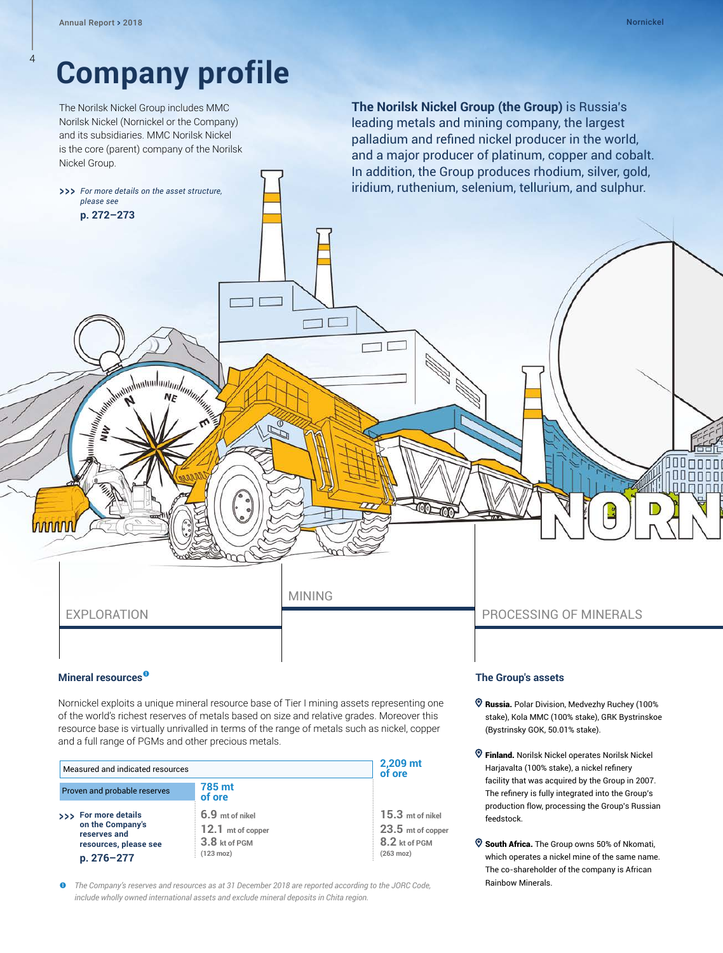4

*please see*  **p. [272–273](#page--1-0)**

inn n

# **Company profile**

The Norilsk Nickel Group includes MMC Norilsk Nickel (Nornickel or the Company) and its subsidiaries. MMC Norilsk Nickel is the core (parent) company of the Norilsk Nickel Group.

>>> For more details on the asset structure.

**The Norilsk Nickel Group (the Group)** is Russia's leading metals and mining company, the largest palladium and refined nickel producer in the world, and a major producer of platinum, copper and cobalt. In addition, the Group produces rhodium, silver, gold, *firmalium, ruthenium, selenium, tellurium, and sulphur.* 

nnnn

#### **Mineral resources**

Nornickel exploits a unique mineral resource base of Tier I mining assets representing one of the world's richest reserves of metals based on size and relative grades. Moreover this resource base is virtually unrivalled in terms of the range of metals such as nickel, copper and a full range of PGMs and other precious metals.

MINING

コロ

| Measured and indicated resources                                                                |                                                                              | 2,209 mt<br>of ore                                                              |
|-------------------------------------------------------------------------------------------------|------------------------------------------------------------------------------|---------------------------------------------------------------------------------|
| Proven and probable reserves                                                                    | 785 mt<br>of ore                                                             |                                                                                 |
| >>> For more details<br>on the Company's<br>reserves and<br>resources, please see<br>p. 276-277 | 6.9 mt of nikel<br>12.1 mt of copper<br>3.8 kt of PGM<br>$(123 \text{ moz})$ | $15.3$ mt of nikel<br>23.5 mt of copper<br>8.2 kt of PGM<br>$(263 \text{ moz})$ |

 *The Company's reserves and resources as at 31 December 2018 are reported according to the JORC Code, include wholly owned international assets and exclude mineral deposits in Chita region.*

### EXPLORATION PROCESSING OF MINERALS

#### **The Group's assets**

**COLOR** 

- Russia. Polar Division, Medvezhy Ruchey (100% stake), Kola MMC (100% stake), GRK Bystrinskoe (Bystrinsky GOK, 50.01% stake).
- Finland. Norilsk Nickel operates Norilsk Nickel Harjavalta (100% stake), a nickel refinery facility that was acquired by the Group in 2007. The refinery is fully integrated into the Group's production flow, processing the Group's Russian feedstock.
- **South Africa.** The Group owns 50% of Nkomati, which operates a nickel mine of the same name. The co-shareholder of the company is African Rainbow Minerals.